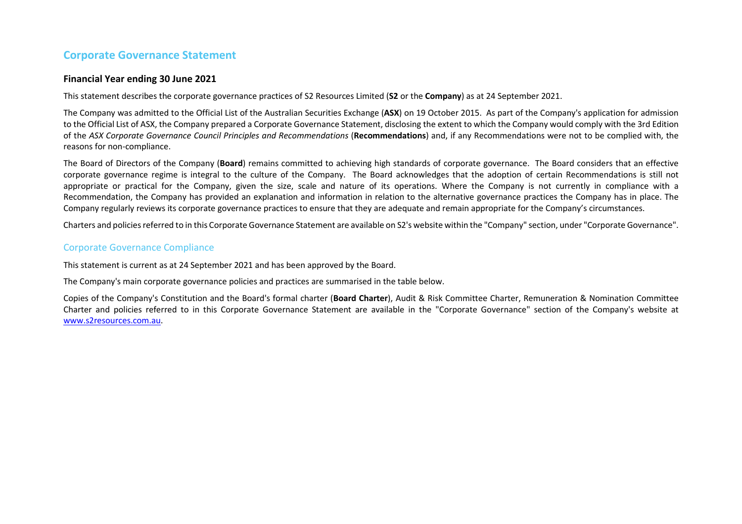## **Corporate Governance Statement**

## **Financial Year ending 30 June 2021**

This statement describes the corporate governance practices of S2 Resources Limited (**S2** or the **Company**) as at 24 September 2021.

The Company was admitted to the Official List of the Australian Securities Exchange (**ASX**) on 19 October 2015. As part of the Company's application for admission to the Official List of ASX, the Company prepared a Corporate Governance Statement, disclosing the extent to which the Company would comply with the 3rd Edition of the *ASX Corporate Governance Council Principles and Recommendations* (**Recommendations**) and, if any Recommendations were not to be complied with, the reasons for non-compliance.

The Board of Directors of the Company (**Board**) remains committed to achieving high standards of corporate governance. The Board considers that an effective corporate governance regime is integral to the culture of the Company. The Board acknowledges that the adoption of certain Recommendations is still not appropriate or practical for the Company, given the size, scale and nature of its operations. Where the Company is not currently in compliance with a Recommendation, the Company has provided an explanation and information in relation to the alternative governance practices the Company has in place. The Company regularly reviews its corporate governance practices to ensure that they are adequate and remain appropriate for the Company's circumstances.

Charters and policies referred to in this Corporate Governance Statement are available on S2's website within the "Company" section, under "Corporate Governance".

## Corporate Governance Compliance

This statement is current as at 24 September 2021 and has been approved by the Board.

The Company's main corporate governance policies and practices are summarised in the table below.

Copies of the Company's Constitution and the Board's formal charter (**Board Charter**), Audit & Risk Committee Charter, Remuneration & Nomination Committee Charter and policies referred to in this Corporate Governance Statement are available in the "Corporate Governance" section of the Company's website at www.[s2resources.com.au.](http://www.s2resources.com.au/)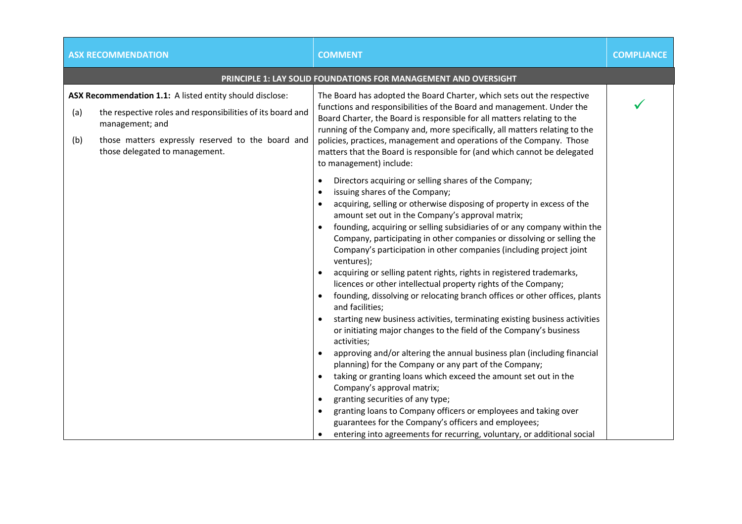|            | <b>ASX RECOMMENDATION</b>                                                                                                                                                                                                        | <b>COMMENT</b>                                                                                                                                                                                                                                                                                                                                                                                                                                                                                                                                                                                                                                                                                                                                                                                                                                                                                                                                                                                                                                                                                                                                                                                                                                                                                                                                                                          | <b>COMPLIANCE</b> |
|------------|----------------------------------------------------------------------------------------------------------------------------------------------------------------------------------------------------------------------------------|-----------------------------------------------------------------------------------------------------------------------------------------------------------------------------------------------------------------------------------------------------------------------------------------------------------------------------------------------------------------------------------------------------------------------------------------------------------------------------------------------------------------------------------------------------------------------------------------------------------------------------------------------------------------------------------------------------------------------------------------------------------------------------------------------------------------------------------------------------------------------------------------------------------------------------------------------------------------------------------------------------------------------------------------------------------------------------------------------------------------------------------------------------------------------------------------------------------------------------------------------------------------------------------------------------------------------------------------------------------------------------------------|-------------------|
|            |                                                                                                                                                                                                                                  | <b>PRINCIPLE 1: LAY SOLID FOUNDATIONS FOR MANAGEMENT AND OVERSIGHT</b>                                                                                                                                                                                                                                                                                                                                                                                                                                                                                                                                                                                                                                                                                                                                                                                                                                                                                                                                                                                                                                                                                                                                                                                                                                                                                                                  |                   |
| (a)<br>(b) | ASX Recommendation 1.1: A listed entity should disclose:<br>the respective roles and responsibilities of its board and<br>management; and<br>those matters expressly reserved to the board and<br>those delegated to management. | The Board has adopted the Board Charter, which sets out the respective<br>functions and responsibilities of the Board and management. Under the<br>Board Charter, the Board is responsible for all matters relating to the<br>running of the Company and, more specifically, all matters relating to the<br>policies, practices, management and operations of the Company. Those<br>matters that the Board is responsible for (and which cannot be delegated<br>to management) include:                                                                                                                                                                                                                                                                                                                                                                                                                                                                                                                                                                                                                                                                                                                                                                                                                                                                                                 |                   |
|            |                                                                                                                                                                                                                                  | Directors acquiring or selling shares of the Company;<br>$\bullet$<br>issuing shares of the Company;<br>$\bullet$<br>acquiring, selling or otherwise disposing of property in excess of the<br>amount set out in the Company's approval matrix;<br>founding, acquiring or selling subsidiaries of or any company within the<br>Company, participating in other companies or dissolving or selling the<br>Company's participation in other companies (including project joint<br>ventures);<br>acquiring or selling patent rights, rights in registered trademarks,<br>licences or other intellectual property rights of the Company;<br>founding, dissolving or relocating branch offices or other offices, plants<br>and facilities;<br>starting new business activities, terminating existing business activities<br>or initiating major changes to the field of the Company's business<br>activities;<br>approving and/or altering the annual business plan (including financial<br>planning) for the Company or any part of the Company;<br>taking or granting loans which exceed the amount set out in the<br>Company's approval matrix;<br>granting securities of any type;<br>granting loans to Company officers or employees and taking over<br>guarantees for the Company's officers and employees;<br>entering into agreements for recurring, voluntary, or additional social |                   |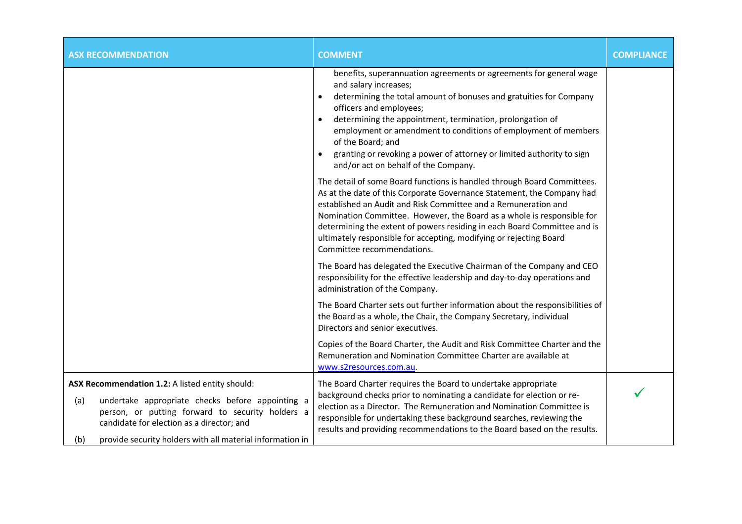| <b>ASX RECOMMENDATION</b>                                                                                                                                                                                                                                                       | <b>COMMENT</b>                                                                                                                                                                                                                                                                                                                                                                                                                                                                 | <b>COMPLIANCE</b> |
|---------------------------------------------------------------------------------------------------------------------------------------------------------------------------------------------------------------------------------------------------------------------------------|--------------------------------------------------------------------------------------------------------------------------------------------------------------------------------------------------------------------------------------------------------------------------------------------------------------------------------------------------------------------------------------------------------------------------------------------------------------------------------|-------------------|
|                                                                                                                                                                                                                                                                                 | benefits, superannuation agreements or agreements for general wage<br>and salary increases;<br>determining the total amount of bonuses and gratuities for Company<br>$\bullet$<br>officers and employees;<br>determining the appointment, termination, prolongation of<br>employment or amendment to conditions of employment of members<br>of the Board; and<br>granting or revoking a power of attorney or limited authority to sign<br>and/or act on behalf of the Company. |                   |
|                                                                                                                                                                                                                                                                                 | The detail of some Board functions is handled through Board Committees.<br>As at the date of this Corporate Governance Statement, the Company had<br>established an Audit and Risk Committee and a Remuneration and<br>Nomination Committee. However, the Board as a whole is responsible for<br>determining the extent of powers residing in each Board Committee and is<br>ultimately responsible for accepting, modifying or rejecting Board<br>Committee recommendations.  |                   |
|                                                                                                                                                                                                                                                                                 | The Board has delegated the Executive Chairman of the Company and CEO<br>responsibility for the effective leadership and day-to-day operations and<br>administration of the Company.                                                                                                                                                                                                                                                                                           |                   |
|                                                                                                                                                                                                                                                                                 | The Board Charter sets out further information about the responsibilities of<br>the Board as a whole, the Chair, the Company Secretary, individual<br>Directors and senior executives.                                                                                                                                                                                                                                                                                         |                   |
|                                                                                                                                                                                                                                                                                 | Copies of the Board Charter, the Audit and Risk Committee Charter and the<br>Remuneration and Nomination Committee Charter are available at<br>www.s2resources.com.au.                                                                                                                                                                                                                                                                                                         |                   |
| ASX Recommendation 1.2: A listed entity should:<br>undertake appropriate checks before appointing a<br>(a)<br>person, or putting forward to security holders a<br>candidate for election as a director; and<br>provide security holders with all material information in<br>(b) | The Board Charter requires the Board to undertake appropriate<br>background checks prior to nominating a candidate for election or re-<br>election as a Director. The Remuneration and Nomination Committee is<br>responsible for undertaking these background searches, reviewing the<br>results and providing recommendations to the Board based on the results.                                                                                                             |                   |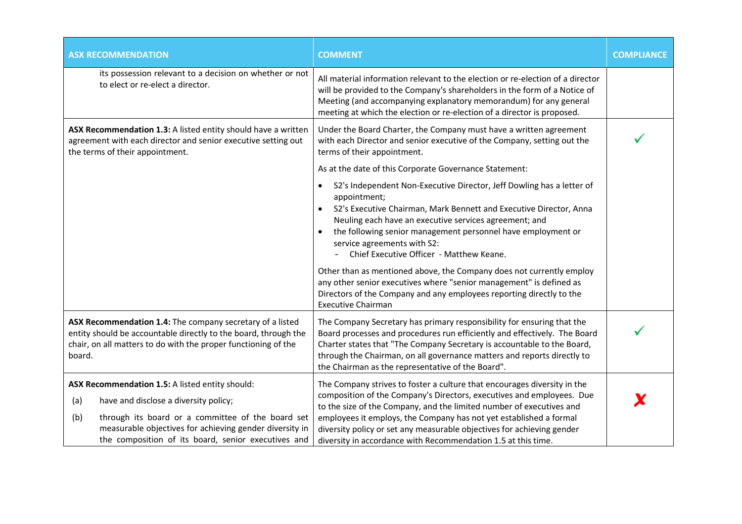| <b>ASX RECOMMENDATION</b>                                                                                                                                                                                                                                                     | <b>COMMENT</b>                                                                                                                                                                                                                                                                                                                                                                                                                                                     | <b>COMPLIANCE</b> |
|-------------------------------------------------------------------------------------------------------------------------------------------------------------------------------------------------------------------------------------------------------------------------------|--------------------------------------------------------------------------------------------------------------------------------------------------------------------------------------------------------------------------------------------------------------------------------------------------------------------------------------------------------------------------------------------------------------------------------------------------------------------|-------------------|
| its possession relevant to a decision on whether or not<br>to elect or re-elect a director.                                                                                                                                                                                   | All material information relevant to the election or re-election of a director<br>will be provided to the Company's shareholders in the form of a Notice of<br>Meeting (and accompanying explanatory memorandum) for any general<br>meeting at which the election or re-election of a director is proposed.                                                                                                                                                        |                   |
| ASX Recommendation 1.3: A listed entity should have a written<br>agreement with each director and senior executive setting out<br>the terms of their appointment.                                                                                                             | Under the Board Charter, the Company must have a written agreement<br>with each Director and senior executive of the Company, setting out the<br>terms of their appointment.                                                                                                                                                                                                                                                                                       |                   |
|                                                                                                                                                                                                                                                                               | As at the date of this Corporate Governance Statement:                                                                                                                                                                                                                                                                                                                                                                                                             |                   |
|                                                                                                                                                                                                                                                                               | S2's Independent Non-Executive Director, Jeff Dowling has a letter of<br>$\bullet$<br>appointment;<br>S2's Executive Chairman, Mark Bennett and Executive Director, Anna<br>Neuling each have an executive services agreement; and<br>the following senior management personnel have employment or<br>$\bullet$<br>service agreements with S2:<br>Chief Executive Officer - Matthew Keane.<br>Other than as mentioned above, the Company does not currently employ |                   |
|                                                                                                                                                                                                                                                                               | any other senior executives where "senior management" is defined as<br>Directors of the Company and any employees reporting directly to the<br><b>Executive Chairman</b>                                                                                                                                                                                                                                                                                           |                   |
| ASX Recommendation 1.4: The company secretary of a listed<br>entity should be accountable directly to the board, through the<br>chair, on all matters to do with the proper functioning of the<br>board.                                                                      | The Company Secretary has primary responsibility for ensuring that the<br>Board processes and procedures run efficiently and effectively. The Board<br>Charter states that "The Company Secretary is accountable to the Board,<br>through the Chairman, on all governance matters and reports directly to<br>the Chairman as the representative of the Board".                                                                                                     |                   |
| ASX Recommendation 1.5: A listed entity should:<br>(a)<br>have and disclose a diversity policy;<br>through its board or a committee of the board set<br>(b)<br>measurable objectives for achieving gender diversity in<br>the composition of its board, senior executives and | The Company strives to foster a culture that encourages diversity in the<br>composition of the Company's Directors, executives and employees. Due<br>to the size of the Company, and the limited number of executives and<br>employees it employs, the Company has not yet established a formal<br>diversity policy or set any measurable objectives for achieving gender<br>diversity in accordance with Recommendation 1.5 at this time.                         |                   |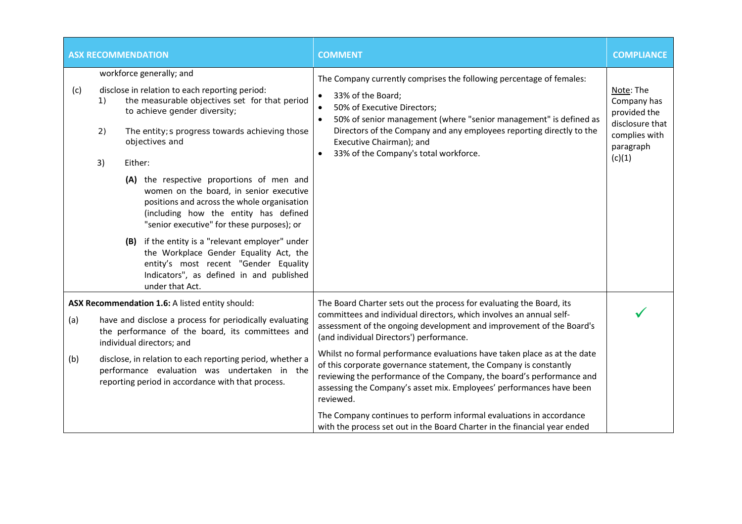| <b>ASX RECOMMENDATION</b> |                                                                                                                                                                                                                                                                                                                                                      |  |                                                                                                                                                                                                    | <b>COMMENT</b>                                                                                                                                                                                                                                                                                                                                          | <b>COMPLIANCE</b>                                                                                   |
|---------------------------|------------------------------------------------------------------------------------------------------------------------------------------------------------------------------------------------------------------------------------------------------------------------------------------------------------------------------------------------------|--|----------------------------------------------------------------------------------------------------------------------------------------------------------------------------------------------------|---------------------------------------------------------------------------------------------------------------------------------------------------------------------------------------------------------------------------------------------------------------------------------------------------------------------------------------------------------|-----------------------------------------------------------------------------------------------------|
| (c)                       | workforce generally; and<br>disclose in relation to each reporting period:<br>the measurable objectives set for that period<br>1)<br>to achieve gender diversity;<br>The entity; s progress towards achieving those<br>2)<br>objectives and<br>Either:<br>3)<br>(A) the respective proportions of men and<br>women on the board, in senior executive |  |                                                                                                                                                                                                    | The Company currently comprises the following percentage of females:<br>33% of the Board;<br>$\bullet$<br>50% of Executive Directors;<br>50% of senior management (where "senior management" is defined as<br>Directors of the Company and any employees reporting directly to the<br>Executive Chairman); and<br>33% of the Company's total workforce. | Note: The<br>Company has<br>provided the<br>disclosure that<br>complies with<br>paragraph<br>(c)(1) |
|                           |                                                                                                                                                                                                                                                                                                                                                      |  | positions and across the whole organisation<br>(including how the entity has defined<br>"senior executive" for these purposes); or                                                                 |                                                                                                                                                                                                                                                                                                                                                         |                                                                                                     |
|                           |                                                                                                                                                                                                                                                                                                                                                      |  | (B) if the entity is a "relevant employer" under<br>the Workplace Gender Equality Act, the<br>entity's most recent "Gender Equality<br>Indicators", as defined in and published<br>under that Act. |                                                                                                                                                                                                                                                                                                                                                         |                                                                                                     |
|                           |                                                                                                                                                                                                                                                                                                                                                      |  | ASX Recommendation 1.6: A listed entity should:                                                                                                                                                    | The Board Charter sets out the process for evaluating the Board, its                                                                                                                                                                                                                                                                                    |                                                                                                     |
| (a)                       |                                                                                                                                                                                                                                                                                                                                                      |  | have and disclose a process for periodically evaluating<br>the performance of the board, its committees and<br>individual directors; and                                                           | committees and individual directors, which involves an annual self-<br>assessment of the ongoing development and improvement of the Board's<br>(and individual Directors') performance.                                                                                                                                                                 |                                                                                                     |
| (b)                       | disclose, in relation to each reporting period, whether a<br>performance evaluation was undertaken in the<br>reporting period in accordance with that process.                                                                                                                                                                                       |  |                                                                                                                                                                                                    | Whilst no formal performance evaluations have taken place as at the date<br>of this corporate governance statement, the Company is constantly<br>reviewing the performance of the Company, the board's performance and<br>assessing the Company's asset mix. Employees' performances have been<br>reviewed.                                             |                                                                                                     |
|                           |                                                                                                                                                                                                                                                                                                                                                      |  |                                                                                                                                                                                                    | The Company continues to perform informal evaluations in accordance<br>with the process set out in the Board Charter in the financial year ended                                                                                                                                                                                                        |                                                                                                     |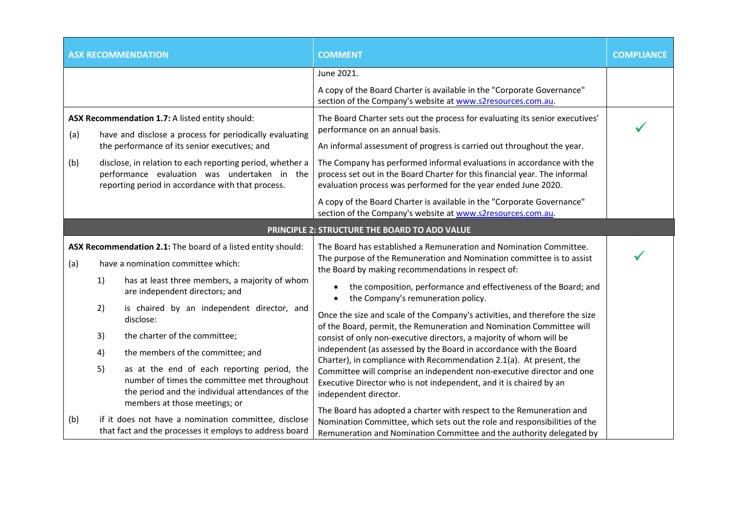| <b>ASX RECOMMENDATION</b>                                                                                 |    |                                                                                                                                                                                  | <b>COMMENT</b>                                                                                                                                                                                                                               | <b>COMPLIANCE</b> |
|-----------------------------------------------------------------------------------------------------------|----|----------------------------------------------------------------------------------------------------------------------------------------------------------------------------------|----------------------------------------------------------------------------------------------------------------------------------------------------------------------------------------------------------------------------------------------|-------------------|
|                                                                                                           |    |                                                                                                                                                                                  | June 2021.                                                                                                                                                                                                                                   |                   |
|                                                                                                           |    |                                                                                                                                                                                  | A copy of the Board Charter is available in the "Corporate Governance"<br>section of the Company's website at www.s2resources.com.au.                                                                                                        |                   |
| (a)                                                                                                       |    | ASX Recommendation 1.7: A listed entity should:<br>have and disclose a process for periodically evaluating                                                                       | The Board Charter sets out the process for evaluating its senior executives'<br>performance on an annual basis.                                                                                                                              |                   |
|                                                                                                           |    | the performance of its senior executives; and                                                                                                                                    | An informal assessment of progress is carried out throughout the year.                                                                                                                                                                       |                   |
| (b)                                                                                                       |    | disclose, in relation to each reporting period, whether a<br>performance evaluation was undertaken in the<br>reporting period in accordance with that process.                   | The Company has performed informal evaluations in accordance with the<br>process set out in the Board Charter for this financial year. The informal<br>evaluation process was performed for the year ended June 2020.                        |                   |
|                                                                                                           |    |                                                                                                                                                                                  | A copy of the Board Charter is available in the "Corporate Governance"<br>section of the Company's website at www.s2resources.com.au.                                                                                                        |                   |
|                                                                                                           |    |                                                                                                                                                                                  | PRINCIPLE 2: STRUCTURE THE BOARD TO ADD VALUE                                                                                                                                                                                                |                   |
| ASX Recommendation 2.1: The board of a listed entity should:<br>have a nomination committee which:<br>(a) |    |                                                                                                                                                                                  | The Board has established a Remuneration and Nomination Committee.<br>The purpose of the Remuneration and Nomination committee is to assist<br>the Board by making recommendations in respect of:                                            |                   |
|                                                                                                           | 1) | has at least three members, a majority of whom<br>are independent directors; and                                                                                                 | the composition, performance and effectiveness of the Board; and<br>$\bullet$<br>the Company's remuneration policy.<br>$\bullet$                                                                                                             |                   |
|                                                                                                           | 2) | is chaired by an independent director, and<br>disclose:                                                                                                                          | Once the size and scale of the Company's activities, and therefore the size<br>of the Board, permit, the Remuneration and Nomination Committee will                                                                                          |                   |
|                                                                                                           | 3) | the charter of the committee;                                                                                                                                                    | consist of only non-executive directors, a majority of whom will be                                                                                                                                                                          |                   |
|                                                                                                           | 4) | the members of the committee; and                                                                                                                                                | independent (as assessed by the Board in accordance with the Board<br>Charter), in compliance with Recommendation 2.1(a). At present, the                                                                                                    |                   |
|                                                                                                           | 5) | as at the end of each reporting period, the<br>number of times the committee met throughout<br>the period and the individual attendances of the<br>members at those meetings; or | Committee will comprise an independent non-executive director and one<br>Executive Director who is not independent, and it is chaired by an<br>independent director.<br>The Board has adopted a charter with respect to the Remuneration and |                   |
| (b)                                                                                                       |    | if it does not have a nomination committee, disclose<br>that fact and the processes it employs to address board                                                                  | Nomination Committee, which sets out the role and responsibilities of the                                                                                                                                                                    |                   |
|                                                                                                           |    |                                                                                                                                                                                  | Remuneration and Nomination Committee and the authority delegated by                                                                                                                                                                         |                   |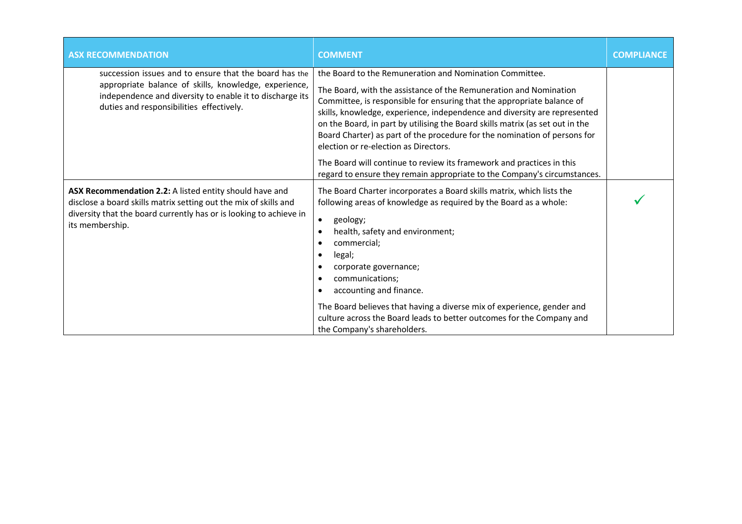| <b>ASX RECOMMENDATION</b>                                                                                                                                                                                               | <b>COMMENT</b>                                                                                                                                                                                                                                                                                                                                                                                                                                                                                                                                                                                                                                  | <b>COMPLIANCE</b> |
|-------------------------------------------------------------------------------------------------------------------------------------------------------------------------------------------------------------------------|-------------------------------------------------------------------------------------------------------------------------------------------------------------------------------------------------------------------------------------------------------------------------------------------------------------------------------------------------------------------------------------------------------------------------------------------------------------------------------------------------------------------------------------------------------------------------------------------------------------------------------------------------|-------------------|
| succession issues and to ensure that the board has the<br>appropriate balance of skills, knowledge, experience,<br>independence and diversity to enable it to discharge its<br>duties and responsibilities effectively. | the Board to the Remuneration and Nomination Committee.<br>The Board, with the assistance of the Remuneration and Nomination<br>Committee, is responsible for ensuring that the appropriate balance of<br>skills, knowledge, experience, independence and diversity are represented<br>on the Board, in part by utilising the Board skills matrix (as set out in the<br>Board Charter) as part of the procedure for the nomination of persons for<br>election or re-election as Directors.<br>The Board will continue to review its framework and practices in this<br>regard to ensure they remain appropriate to the Company's circumstances. |                   |
| ASX Recommendation 2.2: A listed entity should have and<br>disclose a board skills matrix setting out the mix of skills and<br>diversity that the board currently has or is looking to achieve in<br>its membership.    | The Board Charter incorporates a Board skills matrix, which lists the<br>following areas of knowledge as required by the Board as a whole:<br>geology;<br>$\bullet$<br>health, safety and environment;<br>$\bullet$<br>commercial;<br>legal;<br>$\bullet$<br>corporate governance;<br>communications;<br>$\bullet$<br>accounting and finance.<br>٠<br>The Board believes that having a diverse mix of experience, gender and<br>culture across the Board leads to better outcomes for the Company and<br>the Company's shareholders.                                                                                                            |                   |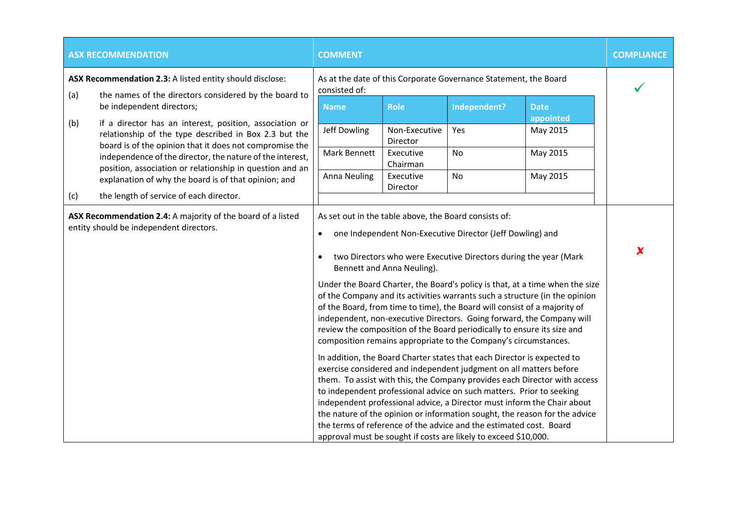|     | <b>ASX RECOMMENDATION</b>                                                                                                                                                   | <b>COMMENT</b>         |                            |                                                                                                                                                                                                                                                                                                                                                                                                                                                                                                                                                                                                                                                                                                                                                                                     |                                                                                                                                                                                                                                                                                                                                                                                                                                                                            | <b>COMPLIANCE</b>   |
|-----|-----------------------------------------------------------------------------------------------------------------------------------------------------------------------------|------------------------|----------------------------|-------------------------------------------------------------------------------------------------------------------------------------------------------------------------------------------------------------------------------------------------------------------------------------------------------------------------------------------------------------------------------------------------------------------------------------------------------------------------------------------------------------------------------------------------------------------------------------------------------------------------------------------------------------------------------------------------------------------------------------------------------------------------------------|----------------------------------------------------------------------------------------------------------------------------------------------------------------------------------------------------------------------------------------------------------------------------------------------------------------------------------------------------------------------------------------------------------------------------------------------------------------------------|---------------------|
| (a) | ASX Recommendation 2.3: A listed entity should disclose:<br>the names of the directors considered by the board to                                                           | consisted of:          |                            | As at the date of this Corporate Governance Statement, the Board                                                                                                                                                                                                                                                                                                                                                                                                                                                                                                                                                                                                                                                                                                                    |                                                                                                                                                                                                                                                                                                                                                                                                                                                                            |                     |
|     | be independent directors;                                                                                                                                                   | <b>Name</b>            | <b>Role</b>                | Independent?                                                                                                                                                                                                                                                                                                                                                                                                                                                                                                                                                                                                                                                                                                                                                                        | <b>Date</b><br>appointed                                                                                                                                                                                                                                                                                                                                                                                                                                                   |                     |
| (b) | if a director has an interest, position, association or<br>relationship of the type described in Box 2.3 but the<br>board is of the opinion that it does not compromise the | Jeff Dowling           | Non-Executive<br>Director  | Yes                                                                                                                                                                                                                                                                                                                                                                                                                                                                                                                                                                                                                                                                                                                                                                                 | May 2015                                                                                                                                                                                                                                                                                                                                                                                                                                                                   |                     |
|     | independence of the director, the nature of the interest,<br>position, association or relationship in question and an                                                       | Mark Bennett           | Executive<br>Chairman      | No                                                                                                                                                                                                                                                                                                                                                                                                                                                                                                                                                                                                                                                                                                                                                                                  | May 2015                                                                                                                                                                                                                                                                                                                                                                                                                                                                   |                     |
| (c) | explanation of why the board is of that opinion; and<br>the length of service of each director.                                                                             | <b>Anna Neuling</b>    | Executive<br>Director      | No                                                                                                                                                                                                                                                                                                                                                                                                                                                                                                                                                                                                                                                                                                                                                                                  | May 2015                                                                                                                                                                                                                                                                                                                                                                                                                                                                   |                     |
|     | ASX Recommendation 2.4: A majority of the board of a listed<br>entity should be independent directors.                                                                      | $\bullet$<br>$\bullet$ | Bennett and Anna Neuling). | As set out in the table above, the Board consists of:<br>one Independent Non-Executive Director (Jeff Dowling) and<br>two Directors who were Executive Directors during the year (Mark<br>of the Board, from time to time), the Board will consist of a majority of<br>review the composition of the Board periodically to ensure its size and<br>composition remains appropriate to the Company's circumstances.<br>In addition, the Board Charter states that each Director is expected to<br>exercise considered and independent judgment on all matters before<br>to independent professional advice on such matters. Prior to seeking<br>the terms of reference of the advice and the estimated cost. Board<br>approval must be sought if costs are likely to exceed \$10,000. | Under the Board Charter, the Board's policy is that, at a time when the size<br>of the Company and its activities warrants such a structure (in the opinion<br>independent, non-executive Directors. Going forward, the Company will<br>them. To assist with this, the Company provides each Director with access<br>independent professional advice, a Director must inform the Chair about<br>the nature of the opinion or information sought, the reason for the advice | $\boldsymbol{\chi}$ |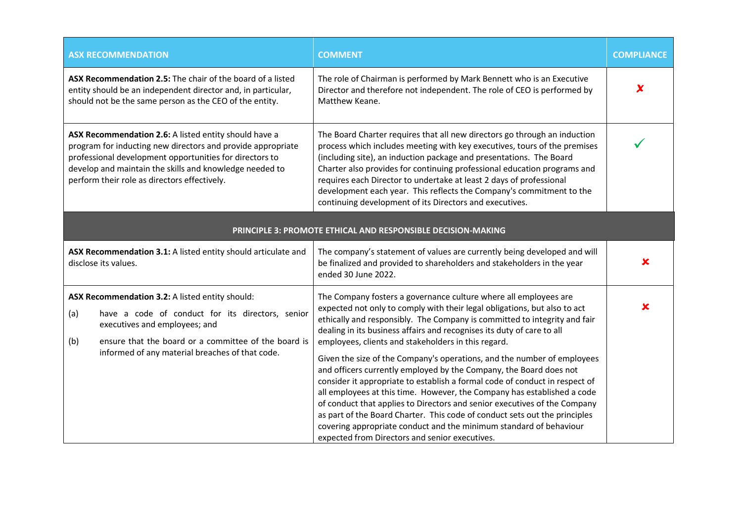| <b>ASX RECOMMENDATION</b>                                                                                                                                                                                                                                                                  | <b>COMMENT</b>                                                                                                                                                                                                                                                                                                                                                                                                                                                                                                                                                                                                                                                                                                                                                                                                                                                                                                                                            | <b>COMPLIANCE</b>         |
|--------------------------------------------------------------------------------------------------------------------------------------------------------------------------------------------------------------------------------------------------------------------------------------------|-----------------------------------------------------------------------------------------------------------------------------------------------------------------------------------------------------------------------------------------------------------------------------------------------------------------------------------------------------------------------------------------------------------------------------------------------------------------------------------------------------------------------------------------------------------------------------------------------------------------------------------------------------------------------------------------------------------------------------------------------------------------------------------------------------------------------------------------------------------------------------------------------------------------------------------------------------------|---------------------------|
| ASX Recommendation 2.5: The chair of the board of a listed<br>entity should be an independent director and, in particular,<br>should not be the same person as the CEO of the entity.                                                                                                      | The role of Chairman is performed by Mark Bennett who is an Executive<br>Director and therefore not independent. The role of CEO is performed by<br>Matthew Keane.                                                                                                                                                                                                                                                                                                                                                                                                                                                                                                                                                                                                                                                                                                                                                                                        | $\boldsymbol{\mathsf{x}}$ |
| ASX Recommendation 2.6: A listed entity should have a<br>program for inducting new directors and provide appropriate<br>professional development opportunities for directors to<br>develop and maintain the skills and knowledge needed to<br>perform their role as directors effectively. | The Board Charter requires that all new directors go through an induction<br>process which includes meeting with key executives, tours of the premises<br>(including site), an induction package and presentations. The Board<br>Charter also provides for continuing professional education programs and<br>requires each Director to undertake at least 2 days of professional<br>development each year. This reflects the Company's commitment to the<br>continuing development of its Directors and executives.                                                                                                                                                                                                                                                                                                                                                                                                                                       |                           |
|                                                                                                                                                                                                                                                                                            | PRINCIPLE 3: PROMOTE ETHICAL AND RESPONSIBLE DECISION-MAKING                                                                                                                                                                                                                                                                                                                                                                                                                                                                                                                                                                                                                                                                                                                                                                                                                                                                                              |                           |
| ASX Recommendation 3.1: A listed entity should articulate and<br>disclose its values.                                                                                                                                                                                                      | The company's statement of values are currently being developed and will<br>be finalized and provided to shareholders and stakeholders in the year<br>ended 30 June 2022.                                                                                                                                                                                                                                                                                                                                                                                                                                                                                                                                                                                                                                                                                                                                                                                 | x                         |
| ASX Recommendation 3.2: A listed entity should:<br>(a)<br>have a code of conduct for its directors, senior<br>executives and employees; and<br>ensure that the board or a committee of the board is<br>(b)<br>informed of any material breaches of that code.                              | The Company fosters a governance culture where all employees are<br>expected not only to comply with their legal obligations, but also to act<br>ethically and responsibly. The Company is committed to integrity and fair<br>dealing in its business affairs and recognises its duty of care to all<br>employees, clients and stakeholders in this regard.<br>Given the size of the Company's operations, and the number of employees<br>and officers currently employed by the Company, the Board does not<br>consider it appropriate to establish a formal code of conduct in respect of<br>all employees at this time. However, the Company has established a code<br>of conduct that applies to Directors and senior executives of the Company<br>as part of the Board Charter. This code of conduct sets out the principles<br>covering appropriate conduct and the minimum standard of behaviour<br>expected from Directors and senior executives. |                           |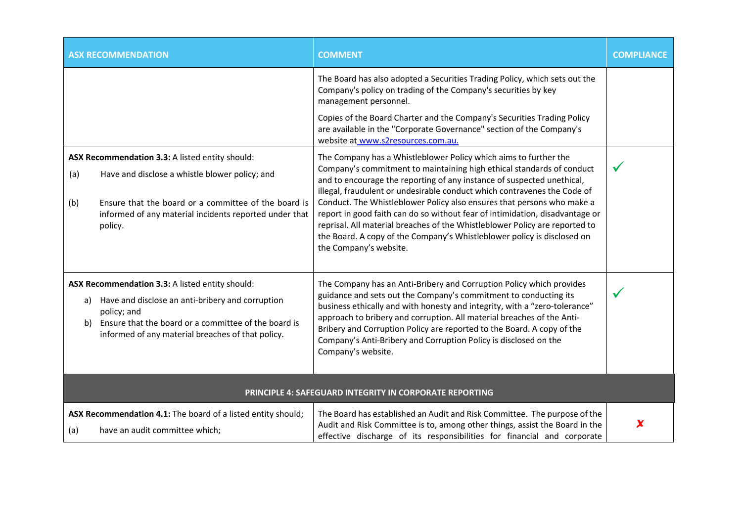|            | <b>ASX RECOMMENDATION</b>                                                                                                                                                                                                       | <b>COMMENT</b>                                                                                                                                                                                                                                                                                                                                                                                                                                                                                                                                                                                                                                | <b>COMPLIANCE</b> |  |
|------------|---------------------------------------------------------------------------------------------------------------------------------------------------------------------------------------------------------------------------------|-----------------------------------------------------------------------------------------------------------------------------------------------------------------------------------------------------------------------------------------------------------------------------------------------------------------------------------------------------------------------------------------------------------------------------------------------------------------------------------------------------------------------------------------------------------------------------------------------------------------------------------------------|-------------------|--|
|            |                                                                                                                                                                                                                                 | The Board has also adopted a Securities Trading Policy, which sets out the<br>Company's policy on trading of the Company's securities by key<br>management personnel.                                                                                                                                                                                                                                                                                                                                                                                                                                                                         |                   |  |
|            |                                                                                                                                                                                                                                 | Copies of the Board Charter and the Company's Securities Trading Policy<br>are available in the "Corporate Governance" section of the Company's<br>website at www.s2resources.com.au.                                                                                                                                                                                                                                                                                                                                                                                                                                                         |                   |  |
| (a)<br>(b) | ASX Recommendation 3.3: A listed entity should:<br>Have and disclose a whistle blower policy; and<br>Ensure that the board or a committee of the board is<br>informed of any material incidents reported under that<br>policy.  | The Company has a Whistleblower Policy which aims to further the<br>Company's commitment to maintaining high ethical standards of conduct<br>and to encourage the reporting of any instance of suspected unethical,<br>illegal, fraudulent or undesirable conduct which contravenes the Code of<br>Conduct. The Whistleblower Policy also ensures that persons who make a<br>report in good faith can do so without fear of intimidation, disadvantage or<br>reprisal. All material breaches of the Whistleblower Policy are reported to<br>the Board. A copy of the Company's Whistleblower policy is disclosed on<br>the Company's website. |                   |  |
| a)<br>b)   | ASX Recommendation 3.3: A listed entity should:<br>Have and disclose an anti-bribery and corruption<br>policy; and<br>Ensure that the board or a committee of the board is<br>informed of any material breaches of that policy. | The Company has an Anti-Bribery and Corruption Policy which provides<br>guidance and sets out the Company's commitment to conducting its<br>business ethically and with honesty and integrity, with a "zero-tolerance"<br>approach to bribery and corruption. All material breaches of the Anti-<br>Bribery and Corruption Policy are reported to the Board. A copy of the<br>Company's Anti-Bribery and Corruption Policy is disclosed on the<br>Company's website.                                                                                                                                                                          | $\checkmark$      |  |
|            | PRINCIPLE 4: SAFEGUARD INTEGRITY IN CORPORATE REPORTING                                                                                                                                                                         |                                                                                                                                                                                                                                                                                                                                                                                                                                                                                                                                                                                                                                               |                   |  |
| (a)        | ASX Recommendation 4.1: The board of a listed entity should;<br>have an audit committee which;                                                                                                                                  | The Board has established an Audit and Risk Committee. The purpose of the<br>Audit and Risk Committee is to, among other things, assist the Board in the<br>effective discharge of its responsibilities for financial and corporate                                                                                                                                                                                                                                                                                                                                                                                                           | X                 |  |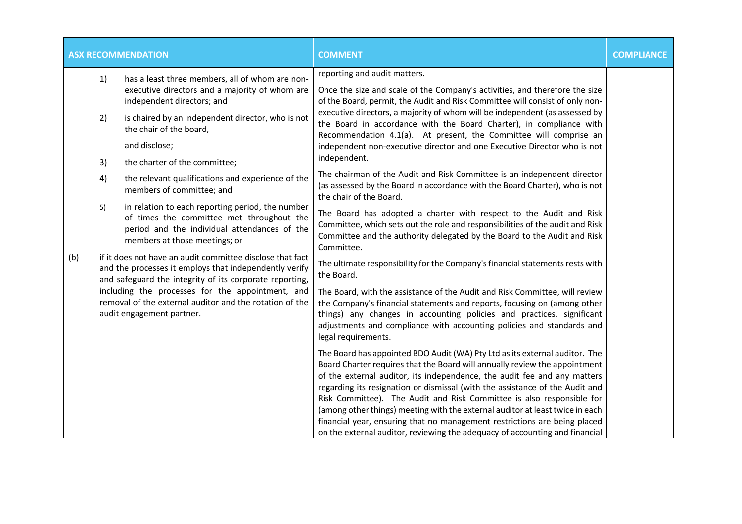| <b>ASX RECOMMENDATION</b> |                                                                                                                                                                                                                                                                                                                            |                                                                                                                                                                                | <b>COMMENT</b>                                                                                                                                                                                                                                                                                                                                                                                                                                                                                                                                                                                                                              | <b>COMPLIANCE</b> |
|---------------------------|----------------------------------------------------------------------------------------------------------------------------------------------------------------------------------------------------------------------------------------------------------------------------------------------------------------------------|--------------------------------------------------------------------------------------------------------------------------------------------------------------------------------|---------------------------------------------------------------------------------------------------------------------------------------------------------------------------------------------------------------------------------------------------------------------------------------------------------------------------------------------------------------------------------------------------------------------------------------------------------------------------------------------------------------------------------------------------------------------------------------------------------------------------------------------|-------------------|
|                           | 1)<br>has a least three members, all of whom are non-<br>executive directors and a majority of whom are<br>independent directors; and                                                                                                                                                                                      |                                                                                                                                                                                | reporting and audit matters.<br>Once the size and scale of the Company's activities, and therefore the size<br>of the Board, permit, the Audit and Risk Committee will consist of only non-                                                                                                                                                                                                                                                                                                                                                                                                                                                 |                   |
|                           | 2)                                                                                                                                                                                                                                                                                                                         | is chaired by an independent director, who is not<br>the chair of the board,                                                                                                   | executive directors, a majority of whom will be independent (as assessed by<br>the Board in accordance with the Board Charter), in compliance with<br>Recommendation 4.1(a). At present, the Committee will comprise an                                                                                                                                                                                                                                                                                                                                                                                                                     |                   |
|                           |                                                                                                                                                                                                                                                                                                                            | and disclose;                                                                                                                                                                  | independent non-executive director and one Executive Director who is not                                                                                                                                                                                                                                                                                                                                                                                                                                                                                                                                                                    |                   |
|                           | 3)                                                                                                                                                                                                                                                                                                                         | the charter of the committee;                                                                                                                                                  | independent.                                                                                                                                                                                                                                                                                                                                                                                                                                                                                                                                                                                                                                |                   |
|                           | 4)                                                                                                                                                                                                                                                                                                                         | the relevant qualifications and experience of the<br>members of committee; and                                                                                                 | The chairman of the Audit and Risk Committee is an independent director<br>(as assessed by the Board in accordance with the Board Charter), who is not<br>the chair of the Board.                                                                                                                                                                                                                                                                                                                                                                                                                                                           |                   |
|                           | 5)                                                                                                                                                                                                                                                                                                                         | in relation to each reporting period, the number<br>of times the committee met throughout the<br>period and the individual attendances of the<br>members at those meetings; or | The Board has adopted a charter with respect to the Audit and Risk<br>Committee, which sets out the role and responsibilities of the audit and Risk<br>Committee and the authority delegated by the Board to the Audit and Risk<br>Committee.                                                                                                                                                                                                                                                                                                                                                                                               |                   |
| (b)                       | if it does not have an audit committee disclose that fact<br>and the processes it employs that independently verify<br>and safeguard the integrity of its corporate reporting,<br>including the processes for the appointment, and<br>removal of the external auditor and the rotation of the<br>audit engagement partner. |                                                                                                                                                                                | The ultimate responsibility for the Company's financial statements rests with<br>the Board.                                                                                                                                                                                                                                                                                                                                                                                                                                                                                                                                                 |                   |
|                           |                                                                                                                                                                                                                                                                                                                            |                                                                                                                                                                                | The Board, with the assistance of the Audit and Risk Committee, will review<br>the Company's financial statements and reports, focusing on (among other<br>things) any changes in accounting policies and practices, significant<br>adjustments and compliance with accounting policies and standards and<br>legal requirements.                                                                                                                                                                                                                                                                                                            |                   |
|                           |                                                                                                                                                                                                                                                                                                                            |                                                                                                                                                                                | The Board has appointed BDO Audit (WA) Pty Ltd as its external auditor. The<br>Board Charter requires that the Board will annually review the appointment<br>of the external auditor, its independence, the audit fee and any matters<br>regarding its resignation or dismissal (with the assistance of the Audit and<br>Risk Committee). The Audit and Risk Committee is also responsible for<br>(among other things) meeting with the external auditor at least twice in each<br>financial year, ensuring that no management restrictions are being placed<br>on the external auditor, reviewing the adequacy of accounting and financial |                   |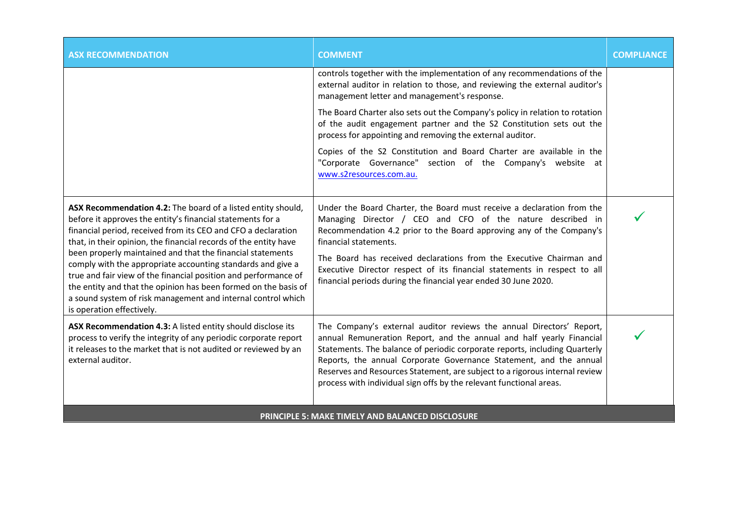| <b>ASX RECOMMENDATION</b>                                                                                                                                                                                                                                                                                                                                                                                                                                                                                                                                                                                                       | <b>COMMENT</b>                                                                                                                                                                                                                                                                                                                                                                                                                                              | <b>COMPLIANCE</b> |
|---------------------------------------------------------------------------------------------------------------------------------------------------------------------------------------------------------------------------------------------------------------------------------------------------------------------------------------------------------------------------------------------------------------------------------------------------------------------------------------------------------------------------------------------------------------------------------------------------------------------------------|-------------------------------------------------------------------------------------------------------------------------------------------------------------------------------------------------------------------------------------------------------------------------------------------------------------------------------------------------------------------------------------------------------------------------------------------------------------|-------------------|
|                                                                                                                                                                                                                                                                                                                                                                                                                                                                                                                                                                                                                                 | controls together with the implementation of any recommendations of the<br>external auditor in relation to those, and reviewing the external auditor's<br>management letter and management's response.                                                                                                                                                                                                                                                      |                   |
|                                                                                                                                                                                                                                                                                                                                                                                                                                                                                                                                                                                                                                 | The Board Charter also sets out the Company's policy in relation to rotation<br>of the audit engagement partner and the S2 Constitution sets out the<br>process for appointing and removing the external auditor.                                                                                                                                                                                                                                           |                   |
|                                                                                                                                                                                                                                                                                                                                                                                                                                                                                                                                                                                                                                 | Copies of the S2 Constitution and Board Charter are available in the<br>"Corporate Governance" section of the Company's website at<br>www.s2resources.com.au.                                                                                                                                                                                                                                                                                               |                   |
| ASX Recommendation 4.2: The board of a listed entity should,<br>before it approves the entity's financial statements for a<br>financial period, received from its CEO and CFO a declaration<br>that, in their opinion, the financial records of the entity have<br>been properly maintained and that the financial statements<br>comply with the appropriate accounting standards and give a<br>true and fair view of the financial position and performance of<br>the entity and that the opinion has been formed on the basis of<br>a sound system of risk management and internal control which<br>is operation effectively. | Under the Board Charter, the Board must receive a declaration from the<br>Managing Director / CEO and CFO of the nature described in<br>Recommendation 4.2 prior to the Board approving any of the Company's<br>financial statements.<br>The Board has received declarations from the Executive Chairman and<br>Executive Director respect of its financial statements in respect to all<br>financial periods during the financial year ended 30 June 2020. |                   |
| ASX Recommendation 4.3: A listed entity should disclose its<br>process to verify the integrity of any periodic corporate report<br>it releases to the market that is not audited or reviewed by an<br>external auditor.                                                                                                                                                                                                                                                                                                                                                                                                         | The Company's external auditor reviews the annual Directors' Report,<br>annual Remuneration Report, and the annual and half yearly Financial<br>Statements. The balance of periodic corporate reports, including Quarterly<br>Reports, the annual Corporate Governance Statement, and the annual<br>Reserves and Resources Statement, are subject to a rigorous internal review<br>process with individual sign offs by the relevant functional areas.      |                   |
|                                                                                                                                                                                                                                                                                                                                                                                                                                                                                                                                                                                                                                 | <b>PRINCIPLE 5: MAKE TIMELY AND BALANCED DISCLOSURE</b>                                                                                                                                                                                                                                                                                                                                                                                                     |                   |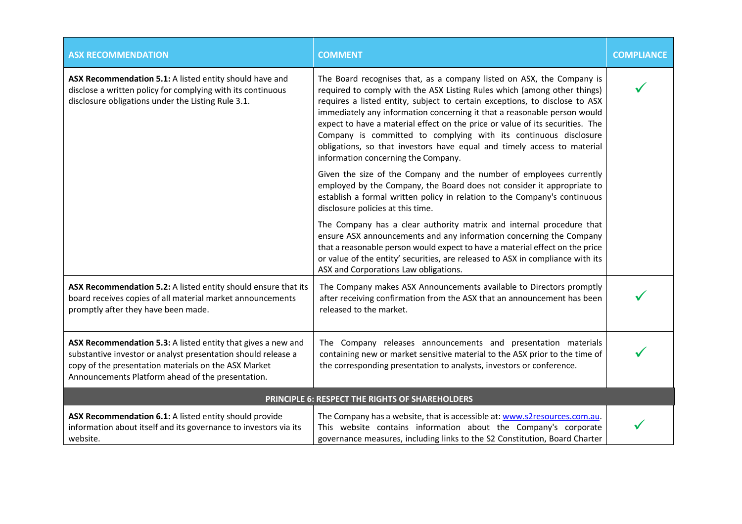| <b>ASX RECOMMENDATION</b>                                                                                                                                                                                                                  | <b>COMMENT</b>                                                                                                                                                                                                                                                                                                                                                                                                                                                                                                                                                                      | <b>COMPLIANCE</b> |
|--------------------------------------------------------------------------------------------------------------------------------------------------------------------------------------------------------------------------------------------|-------------------------------------------------------------------------------------------------------------------------------------------------------------------------------------------------------------------------------------------------------------------------------------------------------------------------------------------------------------------------------------------------------------------------------------------------------------------------------------------------------------------------------------------------------------------------------------|-------------------|
| ASX Recommendation 5.1: A listed entity should have and<br>disclose a written policy for complying with its continuous<br>disclosure obligations under the Listing Rule 3.1.                                                               | The Board recognises that, as a company listed on ASX, the Company is<br>required to comply with the ASX Listing Rules which (among other things)<br>requires a listed entity, subject to certain exceptions, to disclose to ASX<br>immediately any information concerning it that a reasonable person would<br>expect to have a material effect on the price or value of its securities. The<br>Company is committed to complying with its continuous disclosure<br>obligations, so that investors have equal and timely access to material<br>information concerning the Company. |                   |
|                                                                                                                                                                                                                                            | Given the size of the Company and the number of employees currently<br>employed by the Company, the Board does not consider it appropriate to<br>establish a formal written policy in relation to the Company's continuous<br>disclosure policies at this time.                                                                                                                                                                                                                                                                                                                     |                   |
|                                                                                                                                                                                                                                            | The Company has a clear authority matrix and internal procedure that<br>ensure ASX announcements and any information concerning the Company<br>that a reasonable person would expect to have a material effect on the price<br>or value of the entity' securities, are released to ASX in compliance with its<br>ASX and Corporations Law obligations.                                                                                                                                                                                                                              |                   |
| ASX Recommendation 5.2: A listed entity should ensure that its<br>board receives copies of all material market announcements<br>promptly after they have been made.                                                                        | The Company makes ASX Announcements available to Directors promptly<br>after receiving confirmation from the ASX that an announcement has been<br>released to the market.                                                                                                                                                                                                                                                                                                                                                                                                           |                   |
| ASX Recommendation 5.3: A listed entity that gives a new and<br>substantive investor or analyst presentation should release a<br>copy of the presentation materials on the ASX Market<br>Announcements Platform ahead of the presentation. | The Company releases announcements and presentation materials<br>containing new or market sensitive material to the ASX prior to the time of<br>the corresponding presentation to analysts, investors or conference.                                                                                                                                                                                                                                                                                                                                                                |                   |
|                                                                                                                                                                                                                                            | PRINCIPLE 6: RESPECT THE RIGHTS OF SHAREHOLDERS                                                                                                                                                                                                                                                                                                                                                                                                                                                                                                                                     |                   |
| ASX Recommendation 6.1: A listed entity should provide<br>information about itself and its governance to investors via its<br>website.                                                                                                     | The Company has a website, that is accessible at: www.s2resources.com.au.<br>This website contains information about the Company's corporate<br>governance measures, including links to the S2 Constitution, Board Charter                                                                                                                                                                                                                                                                                                                                                          |                   |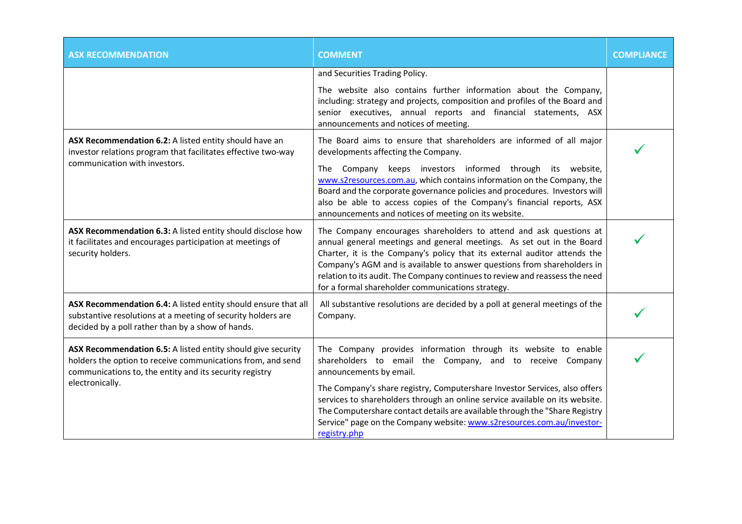| <b>ASX RECOMMENDATION</b>                                                                                                                                                              | <b>COMMENT</b>                                                                                                                                                                                                                                                                                                                                                                                                                           | <b>COMPLIANCE</b> |
|----------------------------------------------------------------------------------------------------------------------------------------------------------------------------------------|------------------------------------------------------------------------------------------------------------------------------------------------------------------------------------------------------------------------------------------------------------------------------------------------------------------------------------------------------------------------------------------------------------------------------------------|-------------------|
|                                                                                                                                                                                        | and Securities Trading Policy.                                                                                                                                                                                                                                                                                                                                                                                                           |                   |
|                                                                                                                                                                                        | The website also contains further information about the Company,<br>including: strategy and projects, composition and profiles of the Board and<br>senior executives, annual reports and financial statements, ASX<br>announcements and notices of meeting.                                                                                                                                                                              |                   |
| ASX Recommendation 6.2: A listed entity should have an<br>investor relations program that facilitates effective two-way                                                                | The Board aims to ensure that shareholders are informed of all major<br>developments affecting the Company.                                                                                                                                                                                                                                                                                                                              |                   |
| communication with investors.                                                                                                                                                          | The Company keeps investors informed through its website,<br>www.s2resources.com.au, which contains information on the Company, the<br>Board and the corporate governance policies and procedures. Investors will<br>also be able to access copies of the Company's financial reports, ASX<br>announcements and notices of meeting on its website.                                                                                       |                   |
| ASX Recommendation 6.3: A listed entity should disclose how<br>it facilitates and encourages participation at meetings of<br>security holders.                                         | The Company encourages shareholders to attend and ask questions at<br>annual general meetings and general meetings. As set out in the Board<br>Charter, it is the Company's policy that its external auditor attends the<br>Company's AGM and is available to answer questions from shareholders in<br>relation to its audit. The Company continues to review and reassess the need<br>for a formal shareholder communications strategy. |                   |
| ASX Recommendation 6.4: A listed entity should ensure that all<br>substantive resolutions at a meeting of security holders are<br>decided by a poll rather than by a show of hands.    | All substantive resolutions are decided by a poll at general meetings of the<br>Company.                                                                                                                                                                                                                                                                                                                                                 |                   |
| ASX Recommendation 6.5: A listed entity should give security<br>holders the option to receive communications from, and send<br>communications to, the entity and its security registry | The Company provides information through its website to enable<br>shareholders to email the Company, and to receive Company<br>announcements by email.                                                                                                                                                                                                                                                                                   |                   |
| electronically.                                                                                                                                                                        | The Company's share registry, Computershare Investor Services, also offers<br>services to shareholders through an online service available on its website.<br>The Computershare contact details are available through the "Share Registry<br>Service" page on the Company website: www.s2resources.com.au/investor-<br>registry.php                                                                                                      |                   |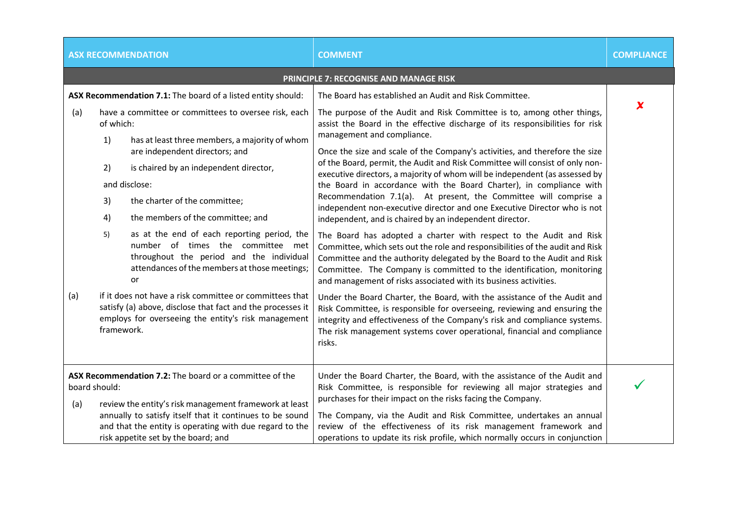|     | <b>ASX RECOMMENDATION</b>                                                                                                                                                                                                                                                                                                           | <b>COMMENT</b>                                                                                                                                                                                                                                                                                                                                                                                                                                                                                                                                                                                                                          | <b>COMPLIANCE</b>   |
|-----|-------------------------------------------------------------------------------------------------------------------------------------------------------------------------------------------------------------------------------------------------------------------------------------------------------------------------------------|-----------------------------------------------------------------------------------------------------------------------------------------------------------------------------------------------------------------------------------------------------------------------------------------------------------------------------------------------------------------------------------------------------------------------------------------------------------------------------------------------------------------------------------------------------------------------------------------------------------------------------------------|---------------------|
|     |                                                                                                                                                                                                                                                                                                                                     | PRINCIPLE 7: RECOGNISE AND MANAGE RISK                                                                                                                                                                                                                                                                                                                                                                                                                                                                                                                                                                                                  |                     |
| (a) | ASX Recommendation 7.1: The board of a listed entity should:<br>have a committee or committees to oversee risk, each<br>of which:<br>1)<br>has at least three members, a majority of whom<br>are independent directors; and<br>is chaired by an independent director,<br>2)<br>and disclose:<br>3)<br>the charter of the committee; | The Board has established an Audit and Risk Committee.<br>The purpose of the Audit and Risk Committee is to, among other things,<br>assist the Board in the effective discharge of its responsibilities for risk<br>management and compliance.<br>Once the size and scale of the Company's activities, and therefore the size<br>of the Board, permit, the Audit and Risk Committee will consist of only non-<br>executive directors, a majority of whom will be independent (as assessed by<br>the Board in accordance with the Board Charter), in compliance with<br>Recommendation 7.1(a). At present, the Committee will comprise a | $\boldsymbol{\chi}$ |
|     | the members of the committee; and<br>4)<br>as at the end of each reporting period, the<br>5)<br>number of times the committee met<br>throughout the period and the individual<br>attendances of the members at those meetings;<br>or                                                                                                | independent non-executive director and one Executive Director who is not<br>independent, and is chaired by an independent director.<br>The Board has adopted a charter with respect to the Audit and Risk<br>Committee, which sets out the role and responsibilities of the audit and Risk<br>Committee and the authority delegated by the Board to the Audit and Risk<br>Committee. The Company is committed to the identification, monitoring<br>and management of risks associated with its business activities.                                                                                                                     |                     |
| (a) | if it does not have a risk committee or committees that<br>satisfy (a) above, disclose that fact and the processes it<br>employs for overseeing the entity's risk management<br>framework.                                                                                                                                          | Under the Board Charter, the Board, with the assistance of the Audit and<br>Risk Committee, is responsible for overseeing, reviewing and ensuring the<br>integrity and effectiveness of the Company's risk and compliance systems.<br>The risk management systems cover operational, financial and compliance<br>risks.                                                                                                                                                                                                                                                                                                                 |                     |
| (a) | ASX Recommendation 7.2: The board or a committee of the<br>board should:<br>review the entity's risk management framework at least<br>annually to satisfy itself that it continues to be sound<br>and that the entity is operating with due regard to the<br>risk appetite set by the board; and                                    | Under the Board Charter, the Board, with the assistance of the Audit and<br>Risk Committee, is responsible for reviewing all major strategies and<br>purchases for their impact on the risks facing the Company.<br>The Company, via the Audit and Risk Committee, undertakes an annual<br>review of the effectiveness of its risk management framework and<br>operations to update its risk profile, which normally occurs in conjunction                                                                                                                                                                                              |                     |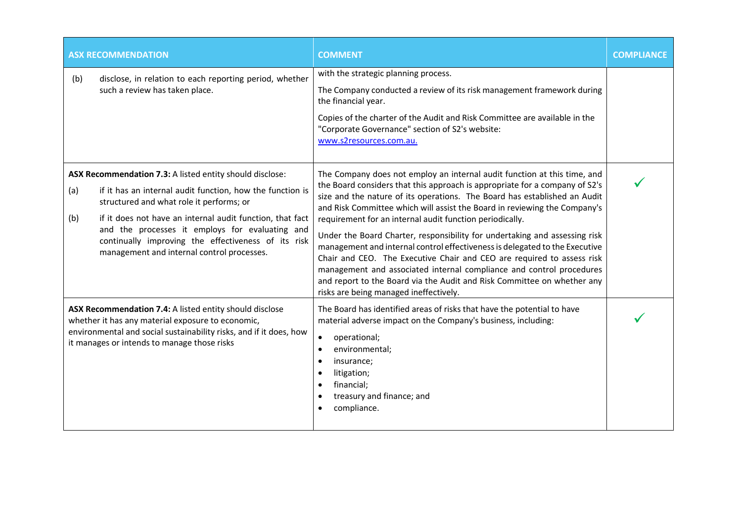|            | <b>ASX RECOMMENDATION</b>                                                                                                                                                                                                                                                                                                                                                              | <b>COMMENT</b>                                                                                                                                                                                                                                                                                                                                                                                                                                                                                                                                                                                                                                                                                                                                                                                                    | <b>COMPLIANCE</b> |
|------------|----------------------------------------------------------------------------------------------------------------------------------------------------------------------------------------------------------------------------------------------------------------------------------------------------------------------------------------------------------------------------------------|-------------------------------------------------------------------------------------------------------------------------------------------------------------------------------------------------------------------------------------------------------------------------------------------------------------------------------------------------------------------------------------------------------------------------------------------------------------------------------------------------------------------------------------------------------------------------------------------------------------------------------------------------------------------------------------------------------------------------------------------------------------------------------------------------------------------|-------------------|
| (b)        | disclose, in relation to each reporting period, whether<br>such a review has taken place.                                                                                                                                                                                                                                                                                              | with the strategic planning process.<br>The Company conducted a review of its risk management framework during<br>the financial year.<br>Copies of the charter of the Audit and Risk Committee are available in the<br>"Corporate Governance" section of S2's website:<br>www.s2resources.com.au.                                                                                                                                                                                                                                                                                                                                                                                                                                                                                                                 |                   |
| (a)<br>(b) | ASX Recommendation 7.3: A listed entity should disclose:<br>if it has an internal audit function, how the function is<br>structured and what role it performs; or<br>if it does not have an internal audit function, that fact<br>and the processes it employs for evaluating and<br>continually improving the effectiveness of its risk<br>management and internal control processes. | The Company does not employ an internal audit function at this time, and<br>the Board considers that this approach is appropriate for a company of S2's<br>size and the nature of its operations. The Board has established an Audit<br>and Risk Committee which will assist the Board in reviewing the Company's<br>requirement for an internal audit function periodically.<br>Under the Board Charter, responsibility for undertaking and assessing risk<br>management and internal control effectiveness is delegated to the Executive<br>Chair and CEO. The Executive Chair and CEO are required to assess risk<br>management and associated internal compliance and control procedures<br>and report to the Board via the Audit and Risk Committee on whether any<br>risks are being managed ineffectively. |                   |
|            | ASX Recommendation 7.4: A listed entity should disclose<br>whether it has any material exposure to economic,<br>environmental and social sustainability risks, and if it does, how<br>it manages or intends to manage those risks                                                                                                                                                      | The Board has identified areas of risks that have the potential to have<br>material adverse impact on the Company's business, including:<br>operational;<br>$\bullet$<br>environmental;<br>$\bullet$<br>insurance;<br>$\bullet$<br>litigation;<br>$\bullet$<br>financial;<br>$\bullet$<br>treasury and finance; and<br>compliance.<br>$\bullet$                                                                                                                                                                                                                                                                                                                                                                                                                                                                   |                   |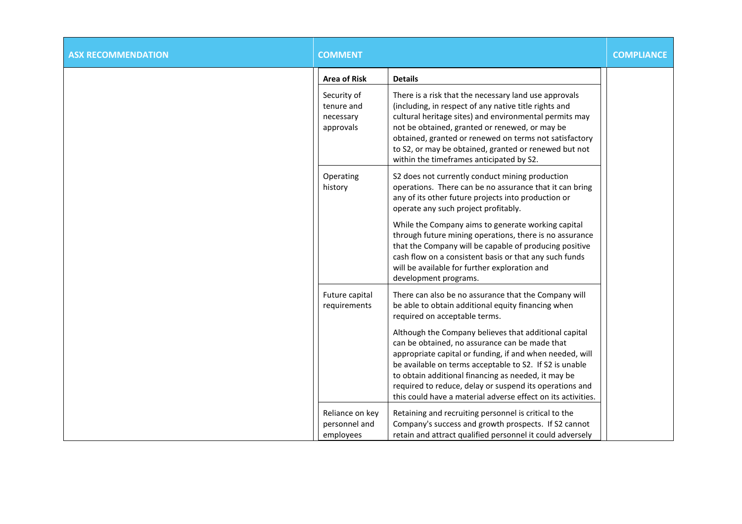| <b>ASX RECOMMENDATION</b> | <b>COMMENT</b>                                      |                                                                                                                                                                                                                                                                                                                                                                                                                  | <b>COMPLIANCE</b> |
|---------------------------|-----------------------------------------------------|------------------------------------------------------------------------------------------------------------------------------------------------------------------------------------------------------------------------------------------------------------------------------------------------------------------------------------------------------------------------------------------------------------------|-------------------|
|                           | <b>Area of Risk</b>                                 | <b>Details</b>                                                                                                                                                                                                                                                                                                                                                                                                   |                   |
|                           | Security of<br>tenure and<br>necessary<br>approvals | There is a risk that the necessary land use approvals<br>(including, in respect of any native title rights and<br>cultural heritage sites) and environmental permits may<br>not be obtained, granted or renewed, or may be<br>obtained, granted or renewed on terms not satisfactory<br>to S2, or may be obtained, granted or renewed but not<br>within the timeframes anticipated by S2.                        |                   |
|                           | Operating<br>history                                | S2 does not currently conduct mining production<br>operations. There can be no assurance that it can bring<br>any of its other future projects into production or<br>operate any such project profitably.                                                                                                                                                                                                        |                   |
|                           |                                                     | While the Company aims to generate working capital<br>through future mining operations, there is no assurance<br>that the Company will be capable of producing positive<br>cash flow on a consistent basis or that any such funds<br>will be available for further exploration and<br>development programs.                                                                                                      |                   |
|                           | Future capital<br>requirements                      | There can also be no assurance that the Company will<br>be able to obtain additional equity financing when<br>required on acceptable terms.                                                                                                                                                                                                                                                                      |                   |
|                           |                                                     | Although the Company believes that additional capital<br>can be obtained, no assurance can be made that<br>appropriate capital or funding, if and when needed, will<br>be available on terms acceptable to S2. If S2 is unable<br>to obtain additional financing as needed, it may be<br>required to reduce, delay or suspend its operations and<br>this could have a material adverse effect on its activities. |                   |
|                           | Reliance on key<br>personnel and<br>employees       | Retaining and recruiting personnel is critical to the<br>Company's success and growth prospects. If S2 cannot<br>retain and attract qualified personnel it could adversely                                                                                                                                                                                                                                       |                   |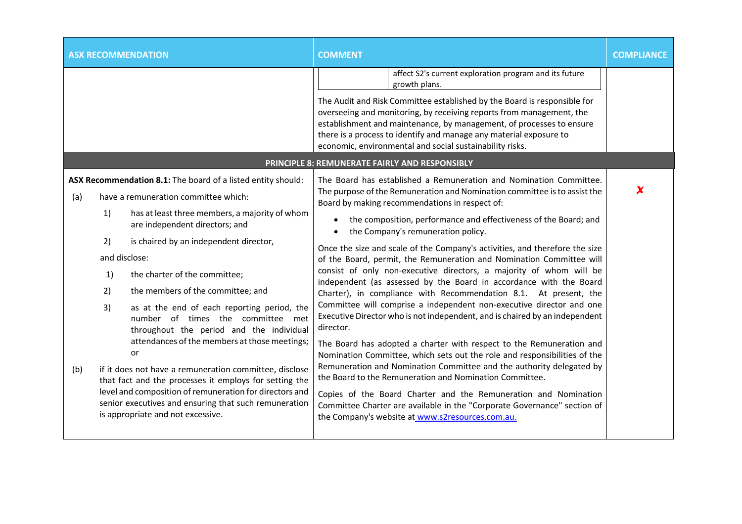| <b>ASX RECOMMENDATION</b>                                                                                                                                                                                                                                                                                                                                                                                                                                                                                                                                                                                                                                                                                                                                                                                                                 | <b>COMMENT</b>                                                                                                                                                                                                                                                                                                                                                                                                                                                                                                                                                                                                                                                                                                                                                                                                                                                                                                                                                                                                                                                                                                                                                                                                                                                                                                                                                  | <b>COMPLIANCE</b>   |
|-------------------------------------------------------------------------------------------------------------------------------------------------------------------------------------------------------------------------------------------------------------------------------------------------------------------------------------------------------------------------------------------------------------------------------------------------------------------------------------------------------------------------------------------------------------------------------------------------------------------------------------------------------------------------------------------------------------------------------------------------------------------------------------------------------------------------------------------|-----------------------------------------------------------------------------------------------------------------------------------------------------------------------------------------------------------------------------------------------------------------------------------------------------------------------------------------------------------------------------------------------------------------------------------------------------------------------------------------------------------------------------------------------------------------------------------------------------------------------------------------------------------------------------------------------------------------------------------------------------------------------------------------------------------------------------------------------------------------------------------------------------------------------------------------------------------------------------------------------------------------------------------------------------------------------------------------------------------------------------------------------------------------------------------------------------------------------------------------------------------------------------------------------------------------------------------------------------------------|---------------------|
|                                                                                                                                                                                                                                                                                                                                                                                                                                                                                                                                                                                                                                                                                                                                                                                                                                           | affect S2's current exploration program and its future<br>growth plans.<br>The Audit and Risk Committee established by the Board is responsible for<br>overseeing and monitoring, by receiving reports from management, the<br>establishment and maintenance, by management, of processes to ensure<br>there is a process to identify and manage any material exposure to<br>economic, environmental and social sustainability risks.                                                                                                                                                                                                                                                                                                                                                                                                                                                                                                                                                                                                                                                                                                                                                                                                                                                                                                                           |                     |
|                                                                                                                                                                                                                                                                                                                                                                                                                                                                                                                                                                                                                                                                                                                                                                                                                                           | <b>PRINCIPLE 8: REMUNERATE FAIRLY AND RESPONSIBLY</b>                                                                                                                                                                                                                                                                                                                                                                                                                                                                                                                                                                                                                                                                                                                                                                                                                                                                                                                                                                                                                                                                                                                                                                                                                                                                                                           |                     |
| ASX Recommendation 8.1: The board of a listed entity should:<br>have a remuneration committee which:<br>(a)<br>1)<br>has at least three members, a majority of whom<br>are independent directors; and<br>is chaired by an independent director,<br>2)<br>and disclose:<br>the charter of the committee;<br>1)<br>2)<br>the members of the committee; and<br>3)<br>as at the end of each reporting period, the<br>number of times the committee met<br>throughout the period and the individual<br>attendances of the members at those meetings;<br>or<br>if it does not have a remuneration committee, disclose<br>(b)<br>that fact and the processes it employs for setting the<br>level and composition of remuneration for directors and<br>senior executives and ensuring that such remuneration<br>is appropriate and not excessive. | The Board has established a Remuneration and Nomination Committee.<br>The purpose of the Remuneration and Nomination committee is to assist the<br>Board by making recommendations in respect of:<br>the composition, performance and effectiveness of the Board; and<br>the Company's remuneration policy.<br>$\bullet$<br>Once the size and scale of the Company's activities, and therefore the size<br>of the Board, permit, the Remuneration and Nomination Committee will<br>consist of only non-executive directors, a majority of whom will be<br>independent (as assessed by the Board in accordance with the Board<br>Charter), in compliance with Recommendation 8.1. At present, the<br>Committee will comprise a independent non-executive director and one<br>Executive Director who is not independent, and is chaired by an independent<br>director.<br>The Board has adopted a charter with respect to the Remuneration and<br>Nomination Committee, which sets out the role and responsibilities of the<br>Remuneration and Nomination Committee and the authority delegated by<br>the Board to the Remuneration and Nomination Committee.<br>Copies of the Board Charter and the Remuneration and Nomination<br>Committee Charter are available in the "Corporate Governance" section of<br>the Company's website at www.s2resources.com.au. | $\boldsymbol{\chi}$ |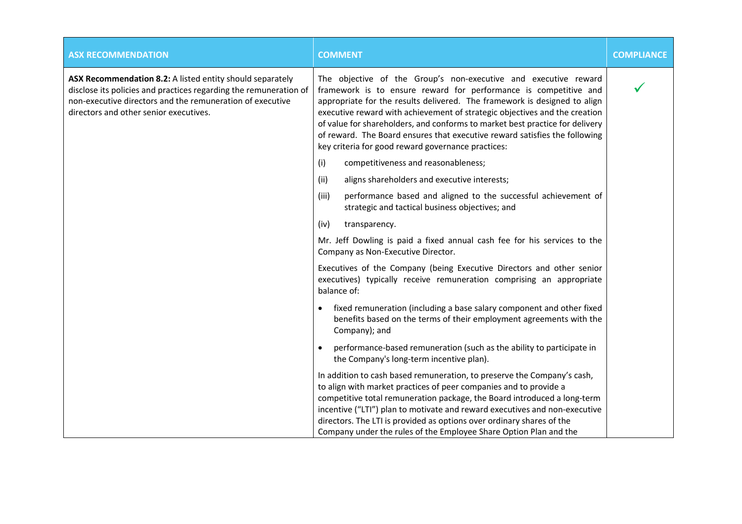| <b>ASX RECOMMENDATION</b>                                                                                                                                                                                                             | <b>COMMENT</b>                                                                                                                                                                                                                                                                                                                                                                                                                                                                                                     | <b>COMPLIANCE</b> |
|---------------------------------------------------------------------------------------------------------------------------------------------------------------------------------------------------------------------------------------|--------------------------------------------------------------------------------------------------------------------------------------------------------------------------------------------------------------------------------------------------------------------------------------------------------------------------------------------------------------------------------------------------------------------------------------------------------------------------------------------------------------------|-------------------|
| ASX Recommendation 8.2: A listed entity should separately<br>disclose its policies and practices regarding the remuneration of<br>non-executive directors and the remuneration of executive<br>directors and other senior executives. | The objective of the Group's non-executive and executive reward<br>framework is to ensure reward for performance is competitive and<br>appropriate for the results delivered. The framework is designed to align<br>executive reward with achievement of strategic objectives and the creation<br>of value for shareholders, and conforms to market best practice for delivery<br>of reward. The Board ensures that executive reward satisfies the following<br>key criteria for good reward governance practices: |                   |
|                                                                                                                                                                                                                                       | (i)<br>competitiveness and reasonableness;                                                                                                                                                                                                                                                                                                                                                                                                                                                                         |                   |
|                                                                                                                                                                                                                                       | aligns shareholders and executive interests;<br>(ii)                                                                                                                                                                                                                                                                                                                                                                                                                                                               |                   |
|                                                                                                                                                                                                                                       | performance based and aligned to the successful achievement of<br>(iii)<br>strategic and tactical business objectives; and                                                                                                                                                                                                                                                                                                                                                                                         |                   |
|                                                                                                                                                                                                                                       | (iv)<br>transparency.                                                                                                                                                                                                                                                                                                                                                                                                                                                                                              |                   |
|                                                                                                                                                                                                                                       | Mr. Jeff Dowling is paid a fixed annual cash fee for his services to the<br>Company as Non-Executive Director.                                                                                                                                                                                                                                                                                                                                                                                                     |                   |
|                                                                                                                                                                                                                                       | Executives of the Company (being Executive Directors and other senior<br>executives) typically receive remuneration comprising an appropriate<br>balance of:                                                                                                                                                                                                                                                                                                                                                       |                   |
|                                                                                                                                                                                                                                       | fixed remuneration (including a base salary component and other fixed<br>$\bullet$<br>benefits based on the terms of their employment agreements with the<br>Company); and                                                                                                                                                                                                                                                                                                                                         |                   |
|                                                                                                                                                                                                                                       | performance-based remuneration (such as the ability to participate in<br>the Company's long-term incentive plan).                                                                                                                                                                                                                                                                                                                                                                                                  |                   |
|                                                                                                                                                                                                                                       | In addition to cash based remuneration, to preserve the Company's cash,<br>to align with market practices of peer companies and to provide a<br>competitive total remuneration package, the Board introduced a long-term<br>incentive ("LTI") plan to motivate and reward executives and non-executive<br>directors. The LTI is provided as options over ordinary shares of the<br>Company under the rules of the Employee Share Option Plan and the                                                               |                   |